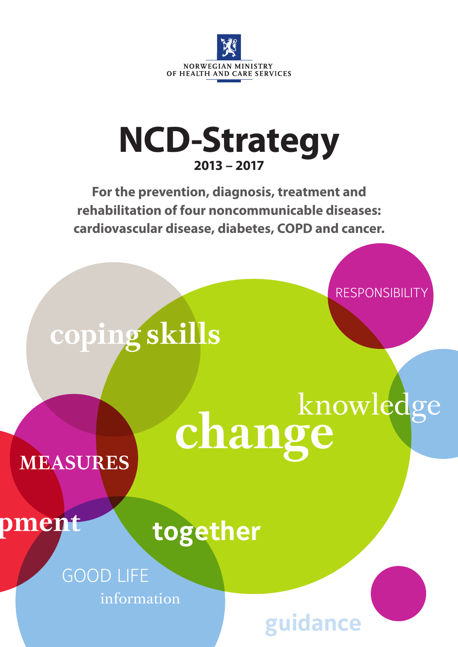

# **NCD-Strategy 2013 – 2017**

**For the prevention, diagnosis, treatment and rehabilitation of four noncommunicable diseases: cardiovascular disease, diabetes, COPD and cancer.** 

RESPONSIBILITY

**coping skills**

**change** knowledge

**guidance**

# **MEASURES**

# pment

**together**

GOOD LIFE information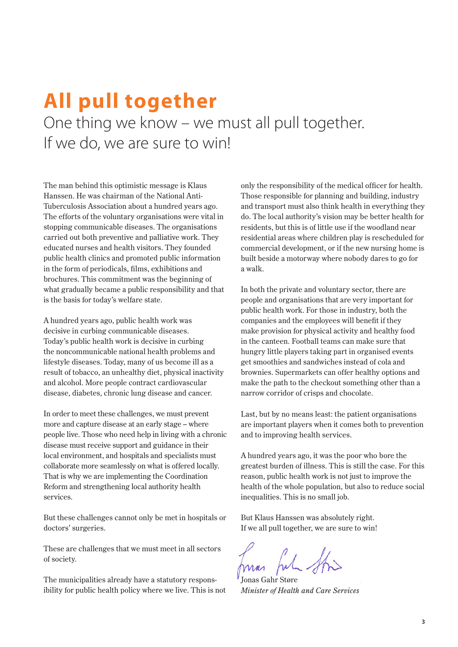## **All pull together** One thing we know – we must all pull together. If we do, we are sure to win!

The man behind this optimistic message is Klaus Hanssen. He was chairman of the National Anti-Tuberculosis Association about a hundred years ago. The efforts of the voluntary organisations were vital in stopping communicable diseases. The organisations carried out both preventive and palliative work. They educated nurses and health visitors. They founded public health clinics and promoted public information in the form of periodicals, films, exhibitions and brochures. This commitment was the beginning of what gradually became a public responsibility and that is the basis for today's welfare state.

A hundred years ago, public health work was decisive in curbing communicable diseases. Today's public health work is decisive in curbing the noncommunicable national health problems and lifestyle diseases. Today, many of us become ill as a result of tobacco, an unhealthy diet, physical inactivity and alcohol. More people contract cardiovascular disease, diabetes, chronic lung disease and cancer.

In order to meet these challenges, we must prevent more and capture disease at an early stage – where people live. Those who need help in living with a chronic disease must receive support and guidance in their local environment, and hospitals and specialists must collaborate more seamlessly on what is offered locally. That is why we are implementing the Coordination Reform and strengthening local authority health services.

But these challenges cannot only be met in hospitals or doctors' surgeries.

These are challenges that we must meet in all sectors of society.

The municipalities already have a statutory responsibility for public health policy where we live. This is not

only the responsibility of the medical officer for health. Those responsible for planning and building, industry and transport must also think health in everything they do. The local authority's vision may be better health for residents, but this is of little use if the woodland near residential areas where children play is rescheduled for commercial development, or if the new nursing home is built beside a motorway where nobody dares to go for a walk.

In both the private and voluntary sector, there are people and organisations that are very important for public health work. For those in industry, both the companies and the employees will benefit if they make provision for physical activity and healthy food in the canteen. Football teams can make sure that hungry little players taking part in organised events get smoothies and sandwiches instead of cola and brownies. Supermarkets can offer healthy options and make the path to the checkout something other than a narrow corridor of crisps and chocolate.

Last, but by no means least: the patient organisations are important players when it comes both to prevention and to improving health services.

A hundred years ago, it was the poor who bore the greatest burden of illness. This is still the case. For this reason, public health work is not just to improve the health of the whole population, but also to reduce social inequalities. This is no small job.

But Klaus Hanssen was absolutely right. If we all pull together, we are sure to win!

Jonas Gahr Støre *Minister of Health and Care Services*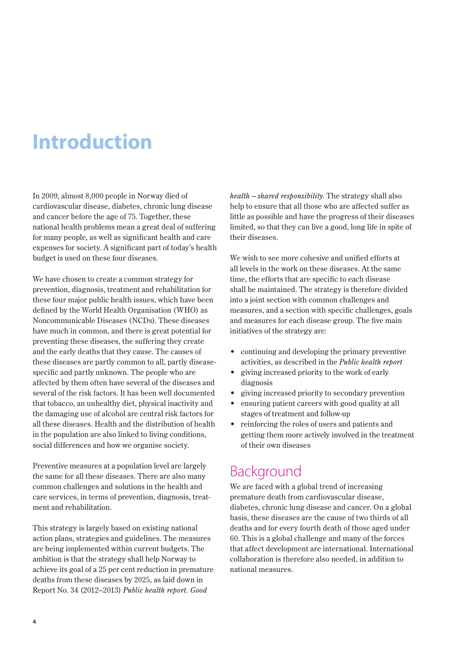# **Introduction**

In 2009, almost 8,000 people in Norway died of cardiovascular disease, diabetes, chronic lung disease and cancer before the age of 75. Together, these national health problems mean a great deal of suffering for many people, as well as significant health and care expenses for society. A significant part of today's health budget is used on these four diseases.

We have chosen to create a common strategy for prevention, diagnosis, treatment and rehabilitation for these four major public health issues, which have been defined by the World Health Organisation (WHO) as Noncommunicable Diseases (NCDs). These diseases have much in common, and there is great potential for preventing these diseases, the suffering they create and the early deaths that they cause. The causes of these diseases are partly common to all, partly diseasespecific and partly unknown. The people who are affected by them often have several of the diseases and several of the risk factors. It has been well documented that tobacco, an unhealthy diet, physical inactivity and the damaging use of alcohol are central risk factors for all these diseases. Health and the distribution of health in the population are also linked to living conditions, social differences and how we organise society.

Preventive measures at a population level are largely the same for all these diseases. There are also many common challenges and solutions in the health and care services, in terms of prevention, diagnosis, treatment and rehabilitation.

This strategy is largely based on existing national action plans, strategies and guidelines. The measures are being implemented within current budgets. The ambition is that the strategy shall help Norway to achieve its goal of a 25 per cent reduction in premature deaths from these diseases by 2025, as laid down in Report No. 34 (2012–2013) *Public health report. Good* 

*health – shared responsibility*. The strategy shall also help to ensure that all those who are affected suffer as little as possible and have the progress of their diseases limited, so that they can live a good, long life in spite of their diseases.

We wish to see more cohesive and unified efforts at all levels in the work on these diseases. At the same time, the efforts that are specific to each disease shall be maintained. The strategy is therefore divided into a joint section with common challenges and measures, and a section with specific challenges, goals and measures for each disease group. The five main initiatives of the strategy are:

- continuing and developing the primary preventive activities, as described in the *Public health report*
- giving increased priority to the work of early diagnosis
- giving increased priority to secondary prevention
- ensuring patient careers with good quality at all stages of treatment and follow-up
- reinforcing the roles of users and patients and getting them more actively involved in the treatment of their own diseases

### Background

We are faced with a global trend of increasing premature death from cardiovascular disease, diabetes, chronic lung disease and cancer. On a global basis, these diseases are the cause of two thirds of all deaths and for every fourth death of those aged under 60. This is a global challenge and many of the forces that affect development are international. International collaboration is therefore also needed, in addition to national measures.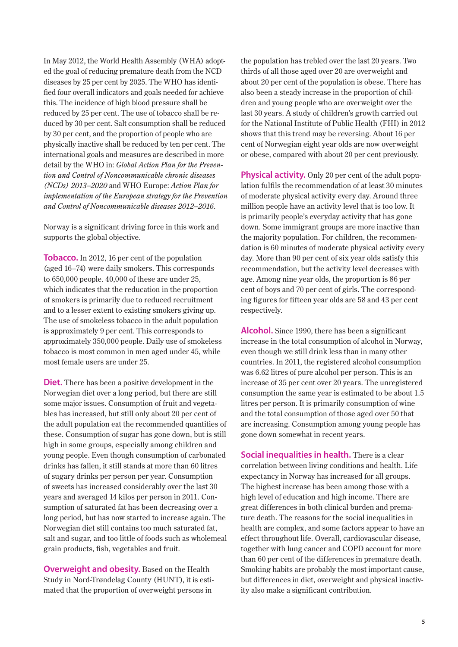In May 2012, the World Health Assembly (WHA) adopted the goal of reducing premature death from the NCD diseases by 25 per cent by 2025. The WHO has identified four overall indicators and goals needed for achieve this. The incidence of high blood pressure shall be reduced by 25 per cent. The use of tobacco shall be reduced by 30 per cent. Salt consumption shall be reduced by 30 per cent, and the proportion of people who are physically inactive shall be reduced by ten per cent. The international goals and measures are described in more detail by the WHO in: *Global Action Plan for the Prevention and Control of Noncommunicable chronic diseases (NCDs) 2013–2020* and WHO Europe: *Action Plan for implementation of the European strategy for the Prevention and Control of Noncommunicable diseases 2012–2016*.

Norway is a significant driving force in this work and supports the global objective.

**Tobacco.** In 2012, 16 per cent of the population (aged 16–74) were daily smokers. This corresponds to 650,000 people. 40,000 of these are under 25, which indicates that the reducation in the proportion of smokers is primarily due to reduced recruitment and to a lesser extent to existing smokers giving up. The use of smokeless tobacco in the adult population is approximately 9 per cent. This corresponds to approximately 350,000 people. Daily use of smokeless tobacco is most common in men aged under 45, while most female users are under 25.

**Diet.** There has been a positive development in the Norwegian diet over a long period, but there are still some major issues. Consumption of fruit and vegetables has increased, but still only about 20 per cent of the adult population eat the recommended quantities of these. Consumption of sugar has gone down, but is still high in some groups, especially among children and young people. Even though consumption of carbonated drinks has fallen, it still stands at more than 60 litres of sugary drinks per person per year. Consumption of sweets has increased considerably over the last 30 years and averaged 14 kilos per person in 2011. Consumption of saturated fat has been decreasing over a long period, but has now started to increase again. The Norwegian diet still contains too much saturated fat, salt and sugar, and too little of foods such as wholemeal grain products, fish, vegetables and fruit.

**Overweight and obesity.** Based on the Health Study in Nord-Trøndelag County (HUNT), it is estimated that the proportion of overweight persons in

the population has trebled over the last 20 years. Two thirds of all those aged over 20 are overweight and about 20 per cent of the population is obese. There has also been a steady increase in the proportion of children and young people who are overweight over the last 30 years. A study of children's growth carried out for the National Institute of Public Health (FHI) in 2012 shows that this trend may be reversing. About 16 per cent of Norwegian eight year olds are now overweight or obese, compared with about 20 per cent previously.

**Physical activity.** Only 20 per cent of the adult population fulfils the recommendation of at least 30 minutes of moderate physical activity every day. Around three million people have an activity level that is too low. It is primarily people's everyday activity that has gone down. Some immigrant groups are more inactive than the majority population. For children, the recommendation is 60 minutes of moderate physical activity every day. More than 90 per cent of six year olds satisfy this recommendation, but the activity level decreases with age. Among nine year olds, the proportion is 86 per cent of boys and 70 per cent of girls. The corresponding figures for fifteen year olds are 58 and 43 per cent respectively.

**Alcohol.** Since 1990, there has been a significant increase in the total consumption of alcohol in Norway, even though we still drink less than in many other countries. In 2011, the registered alcohol consumption was 6.62 litres of pure alcohol per person. This is an increase of 35 per cent over 20 years. The unregistered consumption the same year is estimated to be about 1.5 litres per person. It is primarily consumption of wine and the total consumption of those aged over 50 that are increasing. Consumption among young people has gone down somewhat in recent years.

**Social inequalities in health.** There is a clear correlation between living conditions and health. Life expectancy in Norway has increased for all groups. The highest increase has been among those with a high level of education and high income. There are great differences in both clinical burden and premature death. The reasons for the social inequalities in health are complex, and some factors appear to have an effect throughout life. Overall, cardiovascular disease, together with lung cancer and COPD account for more than 60 per cent of the differences in premature death. Smoking habits are probably the most important cause, but differences in diet, overweight and physical inactivity also make a significant contribution.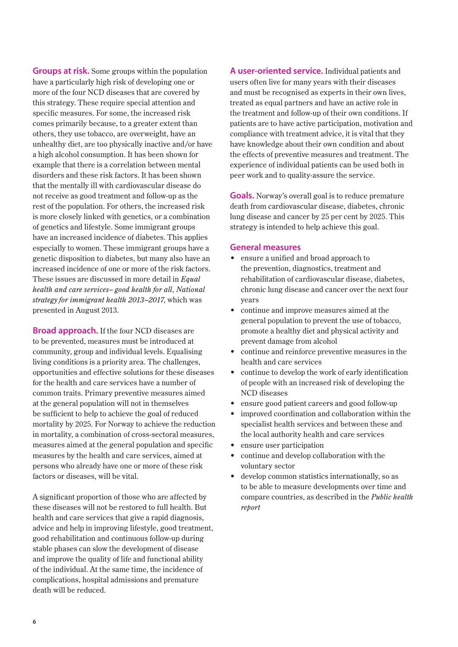**Groups at risk.** Some groups within the population have a particularly high risk of developing one or more of the four NCD diseases that are covered by this strategy. These require special attention and specific measures. For some, the increased risk comes primarily because, to a greater extent than others, they use tobacco, are overweight, have an unhealthy diet, are too physically inactive and/or have a high alcohol consumption. It has been shown for example that there is a correlation between mental disorders and these risk factors. It has been shown that the mentally ill with cardiovascular disease do not receive as good treatment and follow-up as the rest of the population. For others, the increased risk is more closely linked with genetics, or a combination of genetics and lifestyle. Some immigrant groups have an increased incidence of diabetes. This applies especially to women. These immigrant groups have a genetic disposition to diabetes, but many also have an increased incidence of one or more of the risk factors. These issues are discussed in more detail in *Equal health and care services– good health for all, National strategy for immigrant health 2013–2017*, which was presented in August 2013.

**Broad approach.** If the four NCD diseases are to be prevented, measures must be introduced at community, group and individual levels. Equalising living conditions is a priority area. The challenges, opportunities and effective solutions for these diseases for the health and care services have a number of common traits. Primary preventive measures aimed at the general population will not in themselves be sufficient to help to achieve the goal of reduced mortality by 2025. For Norway to achieve the reduction in mortality, a combination of cross-sectoral measures, measures aimed at the general population and specific measures by the health and care services, aimed at persons who already have one or more of these risk factors or diseases, will be vital.

A significant proportion of those who are affected by these diseases will not be restored to full health. But health and care services that give a rapid diagnosis, advice and help in improving lifestyle, good treatment, good rehabilitation and continuous follow-up during stable phases can slow the development of disease and improve the quality of life and functional ability of the individual. At the same time, the incidence of complications, hospital admissions and premature death will be reduced.

**A user-oriented service.** Individual patients and users often live for many years with their diseases and must be recognised as experts in their own lives, treated as equal partners and have an active role in the treatment and follow-up of their own conditions. If patients are to have active participation, motivation and compliance with treatment advice, it is vital that they have knowledge about their own condition and about the effects of preventive measures and treatment. The experience of individual patients can be used both in peer work and to quality-assure the service.

**Goals.** Norway's overall goal is to reduce premature death from cardiovascular disease, diabetes, chronic lung disease and cancer by 25 per cent by 2025. This strategy is intended to help achieve this goal.

#### **General measures**

- ensure a unified and broad approach to the prevention, diagnostics, treatment and rehabilitation of cardiovascular disease, diabetes, chronic lung disease and cancer over the next four years
- continue and improve measures aimed at the general population to prevent the use of tobacco, promote a healthy diet and physical activity and prevent damage from alcohol
- continue and reinforce preventive measures in the health and care services
- continue to develop the work of early identification of people with an increased risk of developing the NCD diseases
- ensure good patient careers and good follow-up
- improved coordination and collaboration within the specialist health services and between these and the local authority health and care services
- ensure user participation
- continue and develop collaboration with the voluntary sector
- develop common statistics internationally, so as to be able to measure developments over time and compare countries, as described in the *Public health report*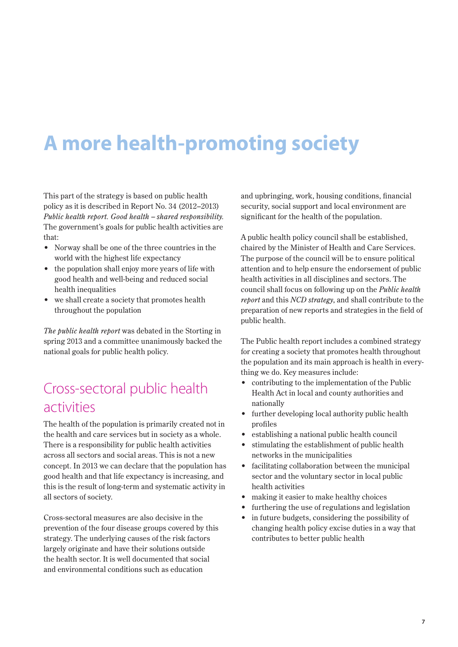# **A more health-promoting society**

This part of the strategy is based on public health policy as it is described in Report No. 34 (2012–2013) *Public health report. Good health – shared responsibility.*  The government's goals for public health activities are that:

- Norway shall be one of the three countries in the world with the highest life expectancy
- the population shall enjoy more years of life with good health and well-being and reduced social health inequalities
- we shall create a society that promotes health throughout the population

*The public health report* was debated in the Storting in spring 2013 and a committee unanimously backed the national goals for public health policy.

## Cross-sectoral public health activities

The health of the population is primarily created not in the health and care services but in society as a whole. There is a responsibility for public health activities across all sectors and social areas. This is not a new concept. In 2013 we can declare that the population has good health and that life expectancy is increasing, and this is the result of long-term and systematic activity in all sectors of society.

Cross-sectoral measures are also decisive in the prevention of the four disease groups covered by this strategy. The underlying causes of the risk factors largely originate and have their solutions outside the health sector. It is well documented that social and environmental conditions such as education

and upbringing, work, housing conditions, financial security, social support and local environment are significant for the health of the population.

A public health policy council shall be established, chaired by the Minister of Health and Care Services. The purpose of the council will be to ensure political attention and to help ensure the endorsement of public health activities in all disciplines and sectors. The council shall focus on following up on the *Public health report* and this *NCD strategy*, and shall contribute to the preparation of new reports and strategies in the field of public health.

The Public health report includes a combined strategy for creating a society that promotes health throughout the population and its main approach is health in everything we do. Key measures include:

- contributing to the implementation of the Public Health Act in local and county authorities and nationally
- further developing local authority public health profiles
- establishing a national public health council
- stimulating the establishment of public health networks in the municipalities
- facilitating collaboration between the municipal sector and the voluntary sector in local public health activities
- making it easier to make healthy choices
- furthering the use of regulations and legislation
- in future budgets, considering the possibility of changing health policy excise duties in a way that contributes to better public health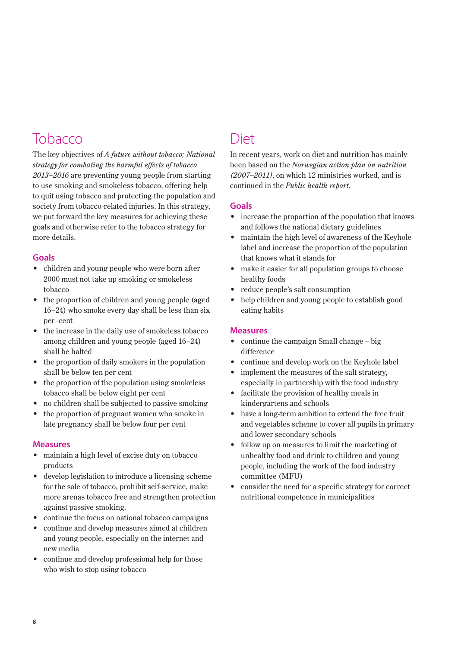## Tobacco

The key objectives of *A future without tobacco; National strategy for combating the harmful effects of tobacco 2013–2016* are preventing young people from starting to use smoking and smokeless tobacco, offering help to quit using tobacco and protecting the population and society from tobacco-related injuries. In this strategy, we put forward the key measures for achieving these goals and otherwise refer to the tobacco strategy for more details.

#### **Goals**

- children and young people who were born after 2000 must not take up smoking or smokeless tobacco
- the proportion of children and young people (aged 16–24) who smoke every day shall be less than six per -cent
- the increase in the daily use of smokeless tobacco among children and young people (aged 16–24) shall be halted
- the proportion of daily smokers in the population shall be below ten per cent
- the proportion of the population using smokeless tobacco shall be below eight per cent
- no children shall be subjected to passive smoking
- the proportion of pregnant women who smoke in late pregnancy shall be below four per cent

#### **Measures**

- maintain a high level of excise duty on tobacco products
- develop legislation to introduce a licensing scheme for the sale of tobacco, prohibit self-service, make more arenas tobacco free and strengthen protection against passive smoking.
- continue the focus on national tobacco campaigns
- continue and develop measures aimed at children and young people, especially on the internet and new media
- continue and develop professional help for those who wish to stop using tobacco

## Diet

In recent years, work on diet and nutrition has mainly been based on the *Norwegian action plan on nutrition (2007–2011)*, on which 12 ministries worked, and is continued in the *Public health report*.

#### **Goals**

- increase the proportion of the population that knows and follows the national dietary guidelines
- maintain the high level of awareness of the Keyhole label and increase the proportion of the population that knows what it stands for
- make it easier for all population groups to choose healthy foods
- reduce people's salt consumption
- help children and young people to establish good eating habits

- continue the campaign Small change big difference
- continue and develop work on the Keyhole label
- implement the measures of the salt strategy, especially in partnership with the food industry
- facilitate the provision of healthy meals in kindergartens and schools
- have a long-term ambition to extend the free fruit and vegetables scheme to cover all pupils in primary and lower secondary schools
- follow up on measures to limit the marketing of unhealthy food and drink to children and young people, including the work of the food industry committee (MFU)
- consider the need for a specific strategy for correct nutritional competence in municipalities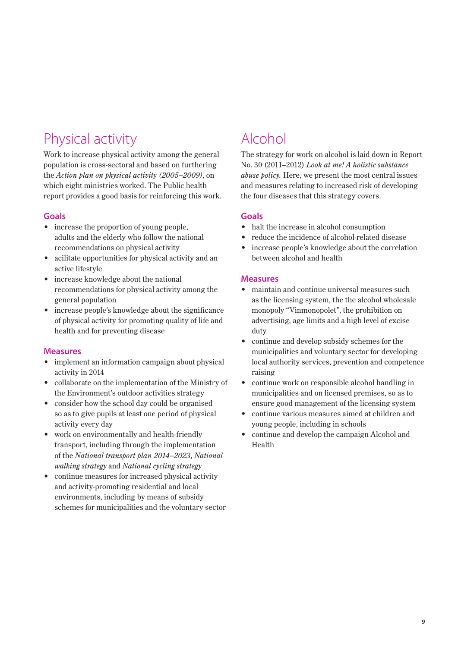## Physical activity

Work to increase physical activity among the general population is cross-sectoral and based on furthering the *Action plan on physical activity (2005–2009)*, on which eight ministries worked. The Public health report provides a good basis for reinforcing this work.

#### **Goals**

- increase the proportion of young people, adults and the elderly who follow the national recommendations on physical activity
- acilitate opportunities for physical activity and an active lifestyle
- increase knowledge about the national recommendations for physical activity among the general population
- increase people's knowledge about the significance of physical activity for promoting quality of life and health and for preventing disease

#### **Measures**

- implement an information campaign about physical activity in 2014
- collaborate on the implementation of the Ministry of the Environment's outdoor activities strategy
- consider how the school day could be organised so as to give pupils at least one period of physical activity every day
- work on environmentally and health-friendly transport, including through the implementation of the *National transport plan 2014–2023*, *National walking strategy* and *National cycling strategy*
- continue measures for increased physical activity and activity-promoting residential and local environments, including by means of subsidy schemes for municipalities and the voluntary sector

## Alcohol

The strategy for work on alcohol is laid down in Report No. 30 (2011–2012) *Look at me! A holistic substance abuse policy.* Here, we present the most central issues and measures relating to increased risk of developing the four diseases that this strategy covers.

#### **Goals**

- halt the increase in alcohol consumption
- reduce the incidence of alcohol-related disease
- increase people's knowledge about the correlation between alcohol and health

- maintain and continue universal measures such as the licensing system, the the alcohol wholesale monopoly "Vinmonopolet", the prohibition on advertising, age limits and a high level of excise duty
- continue and develop subsidy schemes for the municipalities and voluntary sector for developing local authority services, prevention and competence raising
- continue work on responsible alcohol handling in municipalities and on licensed premises, so as to ensure good management of the licensing system
- continue various measures aimed at children and young people, including in schools
- continue and develop the campaign Alcohol and Health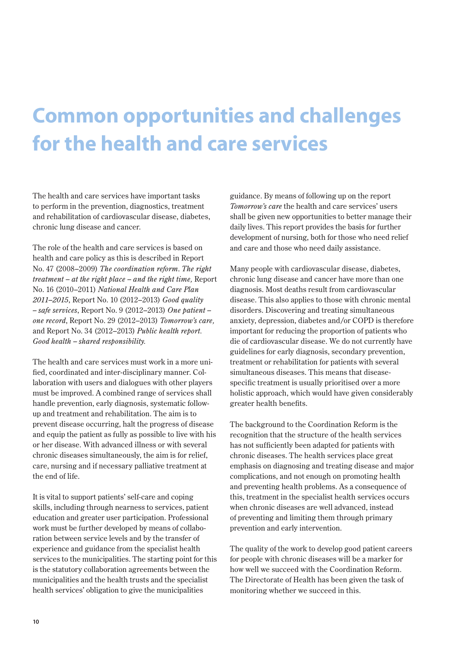# **Common opportunities and challenges for the health and care services**

The health and care services have important tasks to perform in the prevention, diagnostics, treatment and rehabilitation of cardiovascular disease, diabetes, chronic lung disease and cancer.

The role of the health and care services is based on health and care policy as this is described in Report No. 47 (2008–2009) *The coordination reform*. *The right treatment – at the right place – and the right time,* Report No. 16 (2010–2011) *National Health and Care Plan 2011–2015*, Report No. 10 (2012–2013) *Good quality – safe services*, Report No. 9 (2012–2013) *One patient – one record*, Report No. 29 (2012–2013) *Tomorrow's care,*  and Report No. 34 (2012–2013) *Public health report. Good health – shared responsibility.* 

The health and care services must work in a more unified, coordinated and inter-disciplinary manner. Collaboration with users and dialogues with other players must be improved. A combined range of services shall handle prevention, early diagnosis, systematic followup and treatment and rehabilitation. The aim is to prevent disease occurring, halt the progress of disease and equip the patient as fully as possible to live with his or her disease. With advanced illness or with several chronic diseases simultaneously, the aim is for relief, care, nursing and if necessary palliative treatment at the end of life.

It is vital to support patients' self-care and coping skills, including through nearness to services, patient education and greater user participation. Professional work must be further developed by means of collaboration between service levels and by the transfer of experience and guidance from the specialist health services to the municipalities. The starting point for this is the statutory collaboration agreements between the municipalities and the health trusts and the specialist health services' obligation to give the municipalities

guidance. By means of following up on the report *Tomorrow's care* the health and care services' users shall be given new opportunities to better manage their daily lives. This report provides the basis for further development of nursing, both for those who need relief and care and those who need daily assistance.

Many people with cardiovascular disease, diabetes, chronic lung disease and cancer have more than one diagnosis. Most deaths result from cardiovascular disease. This also applies to those with chronic mental disorders. Discovering and treating simultaneous anxiety, depression, diabetes and/or COPD is therefore important for reducing the proportion of patients who die of cardiovascular disease. We do not currently have guidelines for early diagnosis, secondary prevention, treatment or rehabilitation for patients with several simultaneous diseases. This means that diseasespecific treatment is usually prioritised over a more holistic approach, which would have given considerably greater health benefits.

The background to the Coordination Reform is the recognition that the structure of the health services has not sufficiently been adapted for patients with chronic diseases. The health services place great emphasis on diagnosing and treating disease and major complications, and not enough on promoting health and preventing health problems. As a consequence of this, treatment in the specialist health services occurs when chronic diseases are well advanced, instead of preventing and limiting them through primary prevention and early intervention.

The quality of the work to develop good patient careers for people with chronic diseases will be a marker for how well we succeed with the Coordination Reform. The Directorate of Health has been given the task of monitoring whether we succeed in this.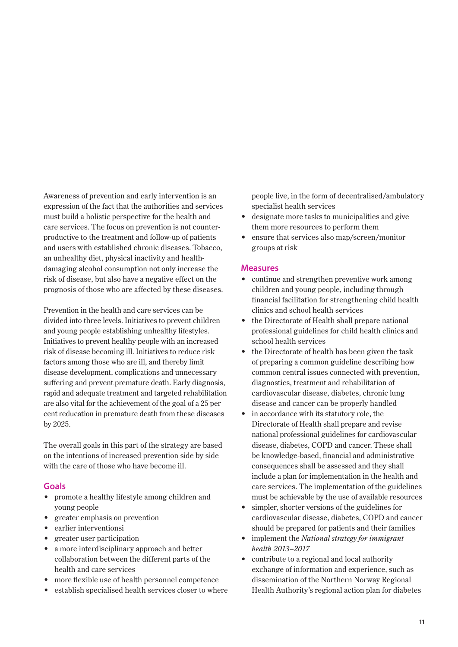Awareness of prevention and early intervention is an expression of the fact that the authorities and services must build a holistic perspective for the health and care services. The focus on prevention is not counterproductive to the treatment and follow-up of patients and users with established chronic diseases. Tobacco, an unhealthy diet, physical inactivity and healthdamaging alcohol consumption not only increase the risk of disease, but also have a negative effect on the prognosis of those who are affected by these diseases.

Prevention in the health and care services can be divided into three levels. Initiatives to prevent children and young people establishing unhealthy lifestyles. Initiatives to prevent healthy people with an increased risk of disease becoming ill. Initiatives to reduce risk factors among those who are ill, and thereby limit disease development, complications and unnecessary suffering and prevent premature death. Early diagnosis, rapid and adequate treatment and targeted rehabilitation are also vital for the achievement of the goal of a 25 per cent reducation in premature death from these diseases by 2025.

The overall goals in this part of the strategy are based on the intentions of increased prevention side by side with the care of those who have become ill.

#### **Goals**

- promote a healthy lifestyle among children and young people
- greater emphasis on prevention
- earlier interventionsi
- greater user participation
- a more interdisciplinary approach and better collaboration between the different parts of the health and care services
- more flexible use of health personnel competence
- establish specialised health services closer to where

people live, in the form of decentralised/ambulatory specialist health services

- designate more tasks to municipalities and give them more resources to perform them
- ensure that services also map/screen/monitor groups at risk

- continue and strengthen preventive work among children and young people, including through financial facilitation for strengthening child health clinics and school health services
- the Directorate of Health shall prepare national professional guidelines for child health clinics and school health services
- the Directorate of health has been given the task of preparing a common guideline describing how common central issues connected with prevention, diagnostics, treatment and rehabilitation of cardiovascular disease, diabetes, chronic lung disease and cancer can be properly handled
- in accordance with its statutory role, the Directorate of Health shall prepare and revise national professional guidelines for cardiovascular disease, diabetes, COPD and cancer. These shall be knowledge-based, financial and administrative consequences shall be assessed and they shall include a plan for implementation in the health and care services. The implementation of the guidelines must be achievable by the use of available resources
- simpler, shorter versions of the guidelines for cardiovascular disease, diabetes, COPD and cancer should be prepared for patients and their families
- implement the *National strategy for immigrant health 2013–2017*
- contribute to a regional and local authority exchange of information and experience, such as dissemination of the Northern Norway Regional Health Authority's regional action plan for diabetes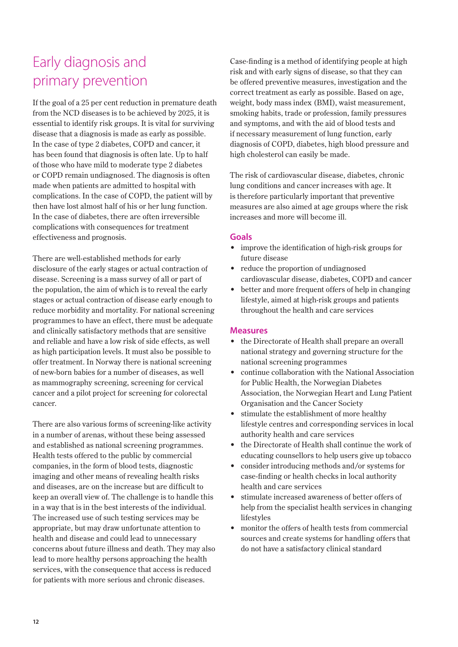## Early diagnosis and primary prevention

If the goal of a 25 per cent reduction in premature death from the NCD diseases is to be achieved by 2025, it is essential to identify risk groups. It is vital for surviving disease that a diagnosis is made as early as possible. In the case of type 2 diabetes, COPD and cancer, it has been found that diagnosis is often late. Up to half of those who have mild to moderate type 2 diabetes or COPD remain undiagnosed. The diagnosis is often made when patients are admitted to hospital with complications. In the case of COPD, the patient will by then have lost almost half of his or her lung function. In the case of diabetes, there are often irreversible complications with consequences for treatment effectiveness and prognosis.

There are well-established methods for early disclosure of the early stages or actual contraction of disease. Screening is a mass survey of all or part of the population, the aim of which is to reveal the early stages or actual contraction of disease early enough to reduce morbidity and mortality. For national screening programmes to have an effect, there must be adequate and clinically satisfactory methods that are sensitive and reliable and have a low risk of side effects, as well as high participation levels. It must also be possible to offer treatment. In Norway there is national screening of new-born babies for a number of diseases, as well as mammography screening, screening for cervical cancer and a pilot project for screening for colorectal cancer.

There are also various forms of screening-like activity in a number of arenas, without these being assessed and established as national screening programmes. Health tests offered to the public by commercial companies, in the form of blood tests, diagnostic imaging and other means of revealing health risks and diseases, are on the increase but are difficult to keep an overall view of. The challenge is to handle this in a way that is in the best interests of the individual. The increased use of such testing services may be appropriate, but may draw unfortunate attention to health and disease and could lead to unnecessary concerns about future illness and death. They may also lead to more healthy persons approaching the health services, with the consequence that access is reduced for patients with more serious and chronic diseases.

Case-finding is a method of identifying people at high risk and with early signs of disease, so that they can be offered preventive measures, investigation and the correct treatment as early as possible. Based on age, weight, body mass index (BMI), waist measurement, smoking habits, trade or profession, family pressures and symptoms, and with the aid of blood tests and if necessary measurement of lung function, early diagnosis of COPD, diabetes, high blood pressure and high cholesterol can easily be made.

The risk of cardiovascular disease, diabetes, chronic lung conditions and cancer increases with age. It is therefore particularly important that preventive measures are also aimed at age groups where the risk increases and more will become ill.

#### **Goals**

- improve the identification of high-risk groups for future disease
- reduce the proportion of undiagnosed cardiovascular disease, diabetes, COPD and cancer
- better and more frequent offers of help in changing lifestyle, aimed at high-risk groups and patients throughout the health and care services

- the Directorate of Health shall prepare an overall national strategy and governing structure for the national screening programmes
- continue collaboration with the National Association for Public Health, the Norwegian Diabetes Association, the Norwegian Heart and Lung Patient Organisation and the Cancer Society
- stimulate the establishment of more healthy lifestyle centres and corresponding services in local authority health and care services
- the Directorate of Health shall continue the work of educating counsellors to help users give up tobacco
- consider introducing methods and/or systems for case-finding or health checks in local authority health and care services
- stimulate increased awareness of better offers of help from the specialist health services in changing lifestyles
- monitor the offers of health tests from commercial sources and create systems for handling offers that do not have a satisfactory clinical standard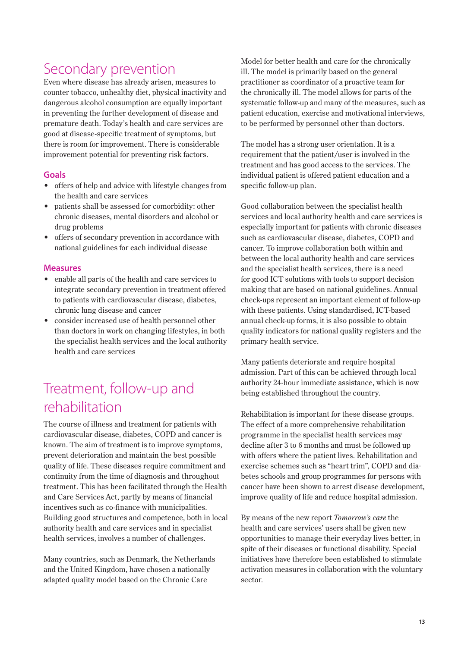## Secondary prevention

Even where disease has already arisen, measures to counter tobacco, unhealthy diet, physical inactivity and dangerous alcohol consumption are equally important in preventing the further development of disease and premature death. Today's health and care services are good at disease-specific treatment of symptoms, but there is room for improvement. There is considerable improvement potential for preventing risk factors.

#### **Goals**

- offers of help and advice with lifestyle changes from the health and care services
- patients shall be assessed for comorbidity: other chronic diseases, mental disorders and alcohol or drug problems
- offers of secondary prevention in accordance with national guidelines for each individual disease

#### **Measures**

- enable all parts of the health and care services to integrate secondary prevention in treatment offered to patients with cardiovascular disease, diabetes, chronic lung disease and cancer
- consider increased use of health personnel other than doctors in work on changing lifestyles, in both the specialist health services and the local authority health and care services

## Treatment, follow-up and rehabilitation

The course of illness and treatment for patients with cardiovascular disease, diabetes, COPD and cancer is known. The aim of treatment is to improve symptoms, prevent deterioration and maintain the best possible quality of life. These diseases require commitment and continuity from the time of diagnosis and throughout treatment. This has been facilitated through the Health and Care Services Act, partly by means of financial incentives such as co-finance with municipalities. Building good structures and competence, both in local authority health and care services and in specialist health services, involves a number of challenges.

Many countries, such as Denmark, the Netherlands and the United Kingdom, have chosen a nationally adapted quality model based on the Chronic Care

Model for better health and care for the chronically ill. The model is primarily based on the general practitioner as coordinator of a proactive team for the chronically ill. The model allows for parts of the systematic follow-up and many of the measures, such as patient education, exercise and motivational interviews, to be performed by personnel other than doctors.

The model has a strong user orientation. It is a requirement that the patient/user is involved in the treatment and has good access to the services. The individual patient is offered patient education and a specific follow-up plan.

Good collaboration between the specialist health services and local authority health and care services is especially important for patients with chronic diseases such as cardiovascular disease, diabetes, COPD and cancer. To improve collaboration both within and between the local authority health and care services and the specialist health services, there is a need for good ICT solutions with tools to support decision making that are based on national guidelines. Annual check-ups represent an important element of follow-up with these patients. Using standardised, ICT-based annual check-up forms, it is also possible to obtain quality indicators for national quality registers and the primary health service.

Many patients deteriorate and require hospital admission. Part of this can be achieved through local authority 24-hour immediate assistance, which is now being established throughout the country.

Rehabilitation is important for these disease groups. The effect of a more comprehensive rehabilitation programme in the specialist health services may decline after 3 to 6 months and must be followed up with offers where the patient lives. Rehabilitation and exercise schemes such as "heart trim", COPD and diabetes schools and group programmes for persons with cancer have been shown to arrest disease development, improve quality of life and reduce hospital admission.

By means of the new report *Tomorrow's care* the health and care services' users shall be given new opportunities to manage their everyday lives better, in spite of their diseases or functional disability. Special initiatives have therefore been established to stimulate activation measures in collaboration with the voluntary sector.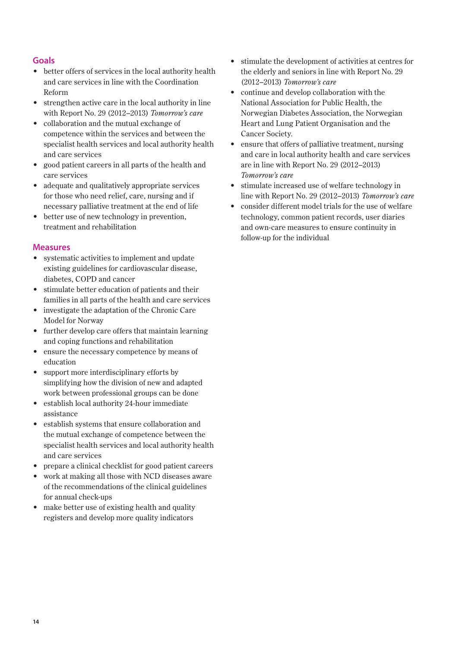#### **Goals**

- better offers of services in the local authority health and care services in line with the Coordination Reform
- strengthen active care in the local authority in line with Report No. 29 (2012–2013) *Tomorrow's care*
- collaboration and the mutual exchange of competence within the services and between the specialist health services and local authority health and care services
- good patient careers in all parts of the health and care services
- adequate and qualitatively appropriate services for those who need relief, care, nursing and if necessary palliative treatment at the end of life
- better use of new technology in prevention, treatment and rehabilitation

- systematic activities to implement and update existing guidelines for cardiovascular disease, diabetes, COPD and cancer
- stimulate better education of patients and their families in all parts of the health and care services
- investigate the adaptation of the Chronic Care Model for Norway
- further develop care offers that maintain learning and coping functions and rehabilitation
- ensure the necessary competence by means of education
- support more interdisciplinary efforts by simplifying how the division of new and adapted work between professional groups can be done
- establish local authority 24-hour immediate assistance
- establish systems that ensure collaboration and the mutual exchange of competence between the specialist health services and local authority health and care services
- prepare a clinical checklist for good patient careers
- work at making all those with NCD diseases aware of the recommendations of the clinical guidelines for annual check-ups
- make better use of existing health and quality registers and develop more quality indicators
- stimulate the development of activities at centres for the elderly and seniors in line with Report No. 29 (2012–2013) *Tomorrow's care*
- continue and develop collaboration with the National Association for Public Health, the Norwegian Diabetes Association, the Norwegian Heart and Lung Patient Organisation and the Cancer Society.
- ensure that offers of palliative treatment, nursing and care in local authority health and care services are in line with Report No. 29 (2012–2013) *Tomorrow's care*
- stimulate increased use of welfare technology in line with Report No. 29 (2012–2013) *Tomorrow's care*
- consider different model trials for the use of welfare technology, common patient records, user diaries and own-care measures to ensure continuity in follow-up for the individual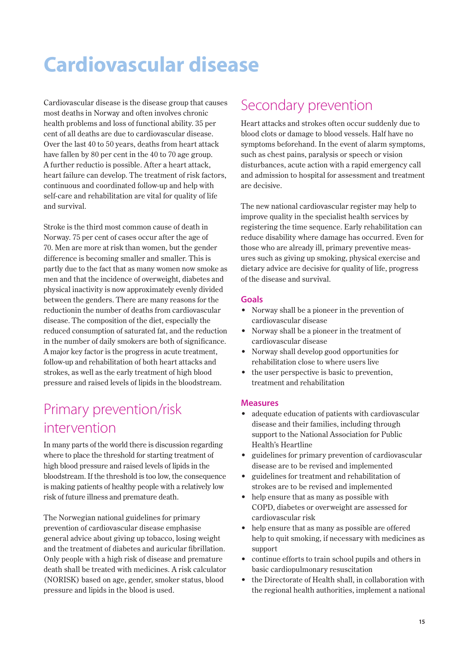# **Cardiovascular disease**

Cardiovascular disease is the disease group that causes most deaths in Norway and often involves chronic health problems and loss of functional ability. 35 per cent of all deaths are due to cardiovascular disease. Over the last 40 to 50 years, deaths from heart attack have fallen by 80 per cent in the 40 to 70 age group. A further reductio is possible. After a heart attack, heart failure can develop. The treatment of risk factors, continuous and coordinated follow-up and help with self-care and rehabilitation are vital for quality of life and survival.

Stroke is the third most common cause of death in Norway. 75 per cent of cases occur after the age of 70. Men are more at risk than women, but the gender difference is becoming smaller and smaller. This is partly due to the fact that as many women now smoke as men and that the incidence of overweight, diabetes and physical inactivity is now approximately evenly divided between the genders. There are many reasons for the reductionin the number of deaths from cardiovascular disease. The composition of the diet, especially the reduced consumption of saturated fat, and the reduction in the number of daily smokers are both of significance. A major key factor is the progress in acute treatment, follow-up and rehabilitation of both heart attacks and strokes, as well as the early treatment of high blood pressure and raised levels of lipids in the bloodstream.

## Primary prevention/risk intervention

In many parts of the world there is discussion regarding where to place the threshold for starting treatment of high blood pressure and raised levels of lipids in the bloodstream. If the threshold is too low, the consequence is making patients of healthy people with a relatively low risk of future illness and premature death.

The Norwegian national guidelines for primary prevention of cardiovascular disease emphasise general advice about giving up tobacco, losing weight and the treatment of diabetes and auricular fibrillation. Only people with a high risk of disease and premature death shall be treated with medicines. A risk calculator (NORISK) based on age, gender, smoker status, blood pressure and lipids in the blood is used.

### Secondary prevention

Heart attacks and strokes often occur suddenly due to blood clots or damage to blood vessels. Half have no symptoms beforehand. In the event of alarm symptoms, such as chest pains, paralysis or speech or vision disturbances, acute action with a rapid emergency call and admission to hospital for assessment and treatment are decisive.

The new national cardiovascular register may help to improve quality in the specialist health services by registering the time sequence. Early rehabilitation can reduce disability where damage has occurred. Even for those who are already ill, primary preventive measures such as giving up smoking, physical exercise and dietary advice are decisive for quality of life, progress of the disease and survival.

#### **Goals**

- Norway shall be a pioneer in the prevention of cardiovascular disease
- Norway shall be a pioneer in the treatment of cardiovascular disease
- Norway shall develop good opportunities for rehabilitation close to where users live
- the user perspective is basic to prevention, treatment and rehabilitation

- adequate education of patients with cardiovascular disease and their families, including through support to the National Association for Public Health's Heartline
- guidelines for primary prevention of cardiovascular disease are to be revised and implemented
- guidelines for treatment and rehabilitation of strokes are to be revised and implemented
- help ensure that as many as possible with COPD, diabetes or overweight are assessed for cardiovascular risk
- help ensure that as many as possible are offered help to quit smoking, if necessary with medicines as support
- continue efforts to train school pupils and others in basic cardiopulmonary resuscitation
- the Directorate of Health shall, in collaboration with the regional health authorities, implement a national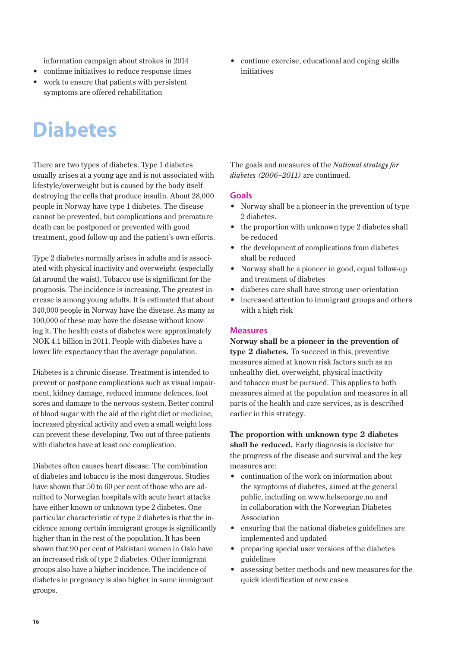information campaign about strokes in 2014

- continue initiatives to reduce response times
- work to ensure that patients with persistent symptoms are offered rehabilitation

# **Diabetes**

There are two types of diabetes. Type 1 diabetes usually arises at a young age and is not associated with lifestyle/overweight but is caused by the body itself destroying the cells that produce insulin. About 28,000 people in Norway have type 1 diabetes. The disease cannot be prevented, but complications and premature death can be postponed or prevented with good treatment, good follow-up and the patient's own efforts.

Type 2 diabetes normally arises in adults and is associated with physical inactivity and overweight (especially fat around the waist). Tobacco use is significant for the prognosis. The incidence is increasing. The greatest increase is among young adults. It is estimated that about 340,000 people in Norway have the disease. As many as 100,000 of these may have the disease without knowing it. The health costs of diabetes were approximately NOK 4.1 billion in 2011. People with diabetes have a lower life expectancy than the average population.

Diabetes is a chronic disease. Treatment is intended to prevent or postpone complications such as visual impairment, kidney damage, reduced immune defences, foot sores and damage to the nervous system. Better control of blood sugar with the aid of the right diet or medicine, increased physical activity and even a small weight loss can prevent these developing. Two out of three patients with diabetes have at least one complication.

Diabetes often causes heart disease. The combination of diabetes and tobacco is the most dangerous. Studies have shown that 50 to 60 per cent of those who are admitted to Norwegian hospitals with acute heart attacks have either known or unknown type 2 diabetes. One particular characteristic of type 2 diabetes is that the incidence among certain immigrant groups is significantly higher than in the rest of the population. It has been shown that 90 per cent of Pakistani women in Oslo have an increased risk of type 2 diabetes. Other immigrant groups also have a higher incidence. The incidence of diabetes in pregnancy is also higher in some immigrant groups.

• continue exercise, educational and coping skills initiatives

The goals and measures of the *National strategy for diabetes (2006–2011)* are continued.

#### **Goals**

- Norway shall be a pioneer in the prevention of type 2 diabetes.
- the proportion with unknown type 2 diabetes shall be reduced
- the development of complications from diabetes shall be reduced
- Norway shall be a pioneer in good, equal follow-up and treatment of diabetes
- diabetes care shall have strong user-orientation
- increased attention to immigrant groups and others with a high risk

#### **Measures**

**Norway shall be a pioneer in the prevention of type 2 diabetes.** To succeed in this, preventive measures aimed at known risk factors such as an unhealthy diet, overweight, physical inactivity and tobacco must be pursued. This applies to both measures aimed at the population and measures in all parts of the health and care services, as is described earlier in this strategy.

**The proportion with unknown type 2 diabetes shall be reduced.** Early diagnosis is decisive for the progress of the disease and survival and the key measures are:

- continuation of the work on information about the symptoms of diabetes, aimed at the general public, including on www.helsenorge.no and in collaboration with the Norwegian Diabetes Association
- ensuring that the national diabetes guidelines are implemented and updated
- preparing special user versions of the diabetes guidelines
- assessing better methods and new measures for the quick identification of new cases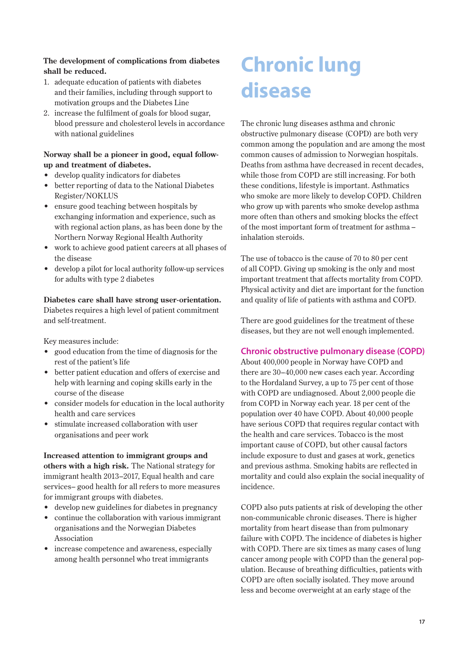#### **The development of complications from diabetes shall be reduced.**

- 1. adequate education of patients with diabetes and their families, including through support to motivation groups and the Diabetes Line
- 2. increase the fulfilment of goals for blood sugar, blood pressure and cholesterol levels in accordance with national guidelines

#### **Norway shall be a pioneer in good, equal followup and treatment of diabetes.**

- develop quality indicators for diabetes
- better reporting of data to the National Diabetes Register/NOKLUS
- ensure good teaching between hospitals by exchanging information and experience, such as with regional action plans, as has been done by the Northern Norway Regional Health Authority
- work to achieve good patient careers at all phases of the disease
- develop a pilot for local authority follow-up services for adults with type 2 diabetes

#### **Diabetes care shall have strong user-orientation.**

Diabetes requires a high level of patient commitment and self-treatment.

Key measures include:

- good education from the time of diagnosis for the rest of the patient's life
- better patient education and offers of exercise and help with learning and coping skills early in the course of the disease
- consider models for education in the local authority health and care services
- stimulate increased collaboration with user organisations and peer work

**Increased attention to immigrant groups and others with a high risk.** The National strategy for immigrant health 2013–2017, Equal health and care services– good health for all refers to more measures for immigrant groups with diabetes.

- develop new guidelines for diabetes in pregnancy
- continue the collaboration with various immigrant organisations and the Norwegian Diabetes Association
- increase competence and awareness, especially among health personnel who treat immigrants

# **Chronic lung disease**

The chronic lung diseases asthma and chronic obstructive pulmonary disease (COPD) are both very common among the population and are among the most common causes of admission to Norwegian hospitals. Deaths from asthma have decreased in recent decades, while those from COPD are still increasing. For both these conditions, lifestyle is important. Asthmatics who smoke are more likely to develop COPD. Children who grow up with parents who smoke develop asthma more often than others and smoking blocks the effect of the most important form of treatment for asthma – inhalation steroids.

The use of tobacco is the cause of 70 to 80 per cent of all COPD. Giving up smoking is the only and most important treatment that affects mortality from COPD. Physical activity and diet are important for the function and quality of life of patients with asthma and COPD.

There are good guidelines for the treatment of these diseases, but they are not well enough implemented.

#### **Chronic obstructive pulmonary disease (COPD)**

About 400,000 people in Norway have COPD and there are 30–40,000 new cases each year. According to the Hordaland Survey, a up to 75 per cent of those with COPD are undiagnosed. About 2,000 people die from COPD in Norway each year. 18 per cent of the population over 40 have COPD. About 40,000 people have serious COPD that requires regular contact with the health and care services. Tobacco is the most important cause of COPD, but other causal factors include exposure to dust and gases at work, genetics and previous asthma. Smoking habits are reflected in mortality and could also explain the social inequality of incidence.

COPD also puts patients at risk of developing the other non-communicable chronic diseases. There is higher mortality from heart disease than from pulmonary failure with COPD. The incidence of diabetes is higher with COPD. There are six times as many cases of lung cancer among people with COPD than the general population. Because of breathing difficulties, patients with COPD are often socially isolated. They move around less and become overweight at an early stage of the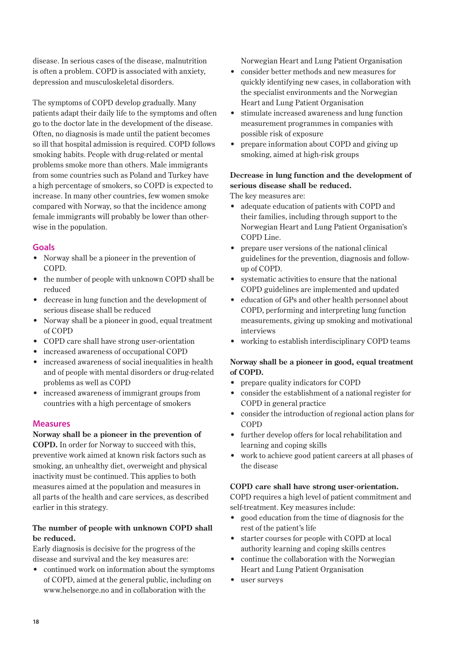disease. In serious cases of the disease, malnutrition is often a problem. COPD is associated with anxiety, depression and musculoskeletal disorders.

The symptoms of COPD develop gradually. Many patients adapt their daily life to the symptoms and often go to the doctor late in the development of the disease. Often, no diagnosis is made until the patient becomes so ill that hospital admission is required. COPD follows smoking habits. People with drug-related or mental problems smoke more than others. Male immigrants from some countries such as Poland and Turkey have a high percentage of smokers, so COPD is expected to increase. In many other countries, few women smoke compared with Norway, so that the incidence among female immigrants will probably be lower than otherwise in the population.

#### **Goals**

- Norway shall be a pioneer in the prevention of COPD.
- the number of people with unknown COPD shall be reduced
- decrease in lung function and the development of serious disease shall be reduced
- Norway shall be a pioneer in good, equal treatment of COPD
- COPD care shall have strong user-orientation
- increased awareness of occupational COPD
- increased awareness of social inequalities in health and of people with mental disorders or drug-related problems as well as COPD
- increased awareness of immigrant groups from countries with a high percentage of smokers

#### **Measures**

#### **Norway shall be a pioneer in the prevention of**

**COPD.** In order for Norway to succeed with this, preventive work aimed at known risk factors such as smoking, an unhealthy diet, overweight and physical inactivity must be continued. This applies to both measures aimed at the population and measures in all parts of the health and care services, as described earlier in this strategy.

#### **The number of people with unknown COPD shall be reduced.**

Early diagnosis is decisive for the progress of the disease and survival and the key measures are:

• continued work on information about the symptoms of COPD, aimed at the general public, including on www.helsenorge.no and in collaboration with the

Norwegian Heart and Lung Patient Organisation

- consider better methods and new measures for quickly identifying new cases, in collaboration with the specialist environments and the Norwegian Heart and Lung Patient Organisation
- stimulate increased awareness and lung function measurement programmes in companies with possible risk of exposure
- prepare information about COPD and giving up smoking, aimed at high-risk groups

#### **Decrease in lung function and the development of serious disease shall be reduced.**

The key measures are:

- adequate education of patients with COPD and their families, including through support to the Norwegian Heart and Lung Patient Organisation's COPD Line.
- prepare user versions of the national clinical guidelines for the prevention, diagnosis and followup of COPD.
- systematic activities to ensure that the national COPD guidelines are implemented and updated
- education of GPs and other health personnel about COPD, performing and interpreting lung function measurements, giving up smoking and motivational interviews
- working to establish interdisciplinary COPD teams

#### **Norway shall be a pioneer in good, equal treatment of COPD.**

- prepare quality indicators for COPD
- consider the establishment of a national register for COPD in general practice
- consider the introduction of regional action plans for COPD
- further develop offers for local rehabilitation and learning and coping skills
- work to achieve good patient careers at all phases of the disease

#### **COPD care shall have strong user-orientation.**

COPD requires a high level of patient commitment and self-treatment. Key measures include:

- good education from the time of diagnosis for the rest of the patient's life
- starter courses for people with COPD at local authority learning and coping skills centres
- continue the collaboration with the Norwegian Heart and Lung Patient Organisation
- user surveys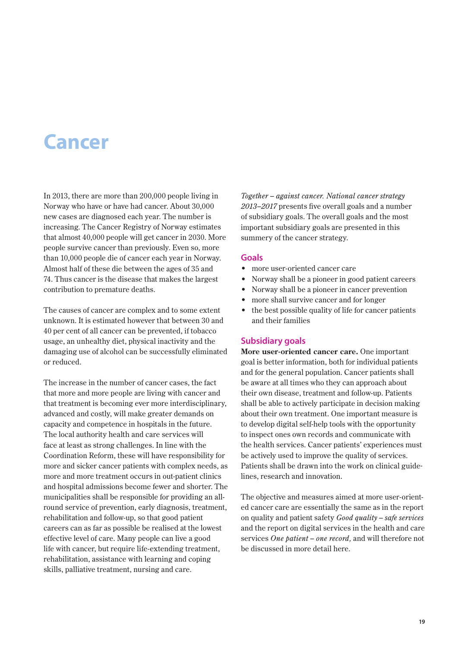## **Cancer**

In 2013, there are more than 200,000 people living in Norway who have or have had cancer. About 30,000 new cases are diagnosed each year. The number is increasing. The Cancer Registry of Norway estimates that almost 40,000 people will get cancer in 2030. More people survive cancer than previously. Even so, more than 10,000 people die of cancer each year in Norway. Almost half of these die between the ages of 35 and 74. Thus cancer is the disease that makes the largest contribution to premature deaths.

The causes of cancer are complex and to some extent unknown. It is estimated however that between 30 and 40 per cent of all cancer can be prevented, if tobacco usage, an unhealthy diet, physical inactivity and the damaging use of alcohol can be successfully eliminated or reduced.

The increase in the number of cancer cases, the fact that more and more people are living with cancer and that treatment is becoming ever more interdisciplinary, advanced and costly, will make greater demands on capacity and competence in hospitals in the future. The local authority health and care services will face at least as strong challenges. In line with the Coordination Reform, these will have responsibility for more and sicker cancer patients with complex needs, as more and more treatment occurs in out-patient clinics and hospital admissions become fewer and shorter. The municipalities shall be responsible for providing an allround service of prevention, early diagnosis, treatment, rehabilitation and follow-up, so that good patient careers can as far as possible be realised at the lowest effective level of care. Many people can live a good life with cancer, but require life-extending treatment, rehabilitation, assistance with learning and coping skills, palliative treatment, nursing and care.

*Together – against cancer. National cancer strategy 2013–2017* presents five overall goals and a number of subsidiary goals. The overall goals and the most important subsidiary goals are presented in this summery of the cancer strategy.

#### **Goals**

- more user-oriented cancer care
- Norway shall be a pioneer in good patient careers
- Norway shall be a pioneer in cancer prevention
- more shall survive cancer and for longer
- the best possible quality of life for cancer patients and their families

#### **Subsidiary goals**

**More user-oriented cancer care.** One important goal is better information, both for individual patients and for the general population. Cancer patients shall be aware at all times who they can approach about their own disease, treatment and follow-up. Patients shall be able to actively participate in decision making about their own treatment. One important measure is to develop digital self-help tools with the opportunity to inspect ones own records and communicate with the health services. Cancer patients' experiences must be actively used to improve the quality of services. Patients shall be drawn into the work on clinical guidelines, research and innovation.

The objective and measures aimed at more user-oriented cancer care are essentially the same as in the report on quality and patient safety *Good quality – safe services*  and the report on digital services in the health and care services *One patient – one record,* and will therefore not be discussed in more detail here.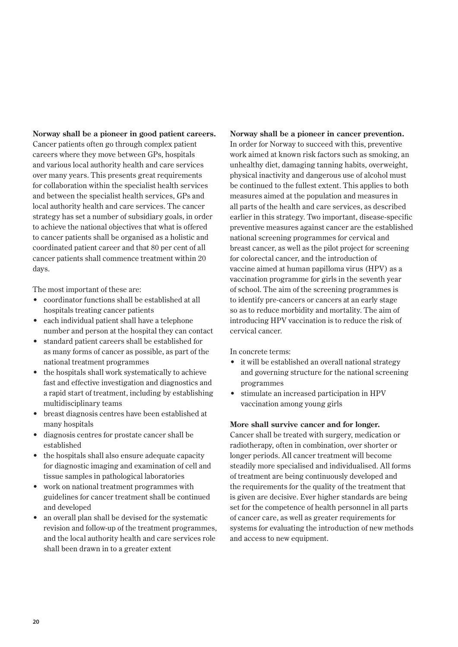**Norway shall be a pioneer in good patient careers.**  Cancer patients often go through complex patient careers where they move between GPs, hospitals and various local authority health and care services over many years. This presents great requirements for collaboration within the specialist health services and between the specialist health services, GPs and local authority health and care services. The cancer strategy has set a number of subsidiary goals, in order to achieve the national objectives that what is offered to cancer patients shall be organised as a holistic and coordinated patient career and that 80 per cent of all cancer patients shall commence treatment within 20 days.

The most important of these are:

- coordinator functions shall be established at all hospitals treating cancer patients
- each individual patient shall have a telephone number and person at the hospital they can contact
- standard patient careers shall be established for as many forms of cancer as possible, as part of the national treatment programmes
- the hospitals shall work systematically to achieve fast and effective investigation and diagnostics and a rapid start of treatment, including by establishing multidisciplinary teams
- breast diagnosis centres have been established at many hospitals
- diagnosis centres for prostate cancer shall be established
- the hospitals shall also ensure adequate capacity for diagnostic imaging and examination of cell and tissue samples in pathological laboratories
- work on national treatment programmes with guidelines for cancer treatment shall be continued and developed
- an overall plan shall be devised for the systematic revision and follow-up of the treatment programmes, and the local authority health and care services role shall been drawn in to a greater extent

**Norway shall be a pioneer in cancer prevention.**  In order for Norway to succeed with this, preventive work aimed at known risk factors such as smoking, an unhealthy diet, damaging tanning habits, overweight, physical inactivity and dangerous use of alcohol must be continued to the fullest extent. This applies to both measures aimed at the population and measures in all parts of the health and care services, as described earlier in this strategy. Two important, disease-specific preventive measures against cancer are the established national screening programmes for cervical and breast cancer, as well as the pilot project for screening for colorectal cancer, and the introduction of vaccine aimed at human papilloma virus (HPV) as a vaccination programme for girls in the seventh year of school. The aim of the screening programmes is to identify pre-cancers or cancers at an early stage so as to reduce morbidity and mortality. The aim of introducing HPV vaccination is to reduce the risk of cervical cancer.

In concrete terms:

- it will be established an overall national strategy and governing structure for the national screening programmes
- stimulate an increased participation in HPV vaccination among young girls

#### **More shall survive cancer and for longer.**

Cancer shall be treated with surgery, medication or radiotherapy, often in combination, over shorter or longer periods. All cancer treatment will become steadily more specialised and individualised. All forms of treatment are being continuously developed and the requirements for the quality of the treatment that is given are decisive. Ever higher standards are being set for the competence of health personnel in all parts of cancer care, as well as greater requirements for systems for evaluating the introduction of new methods and access to new equipment.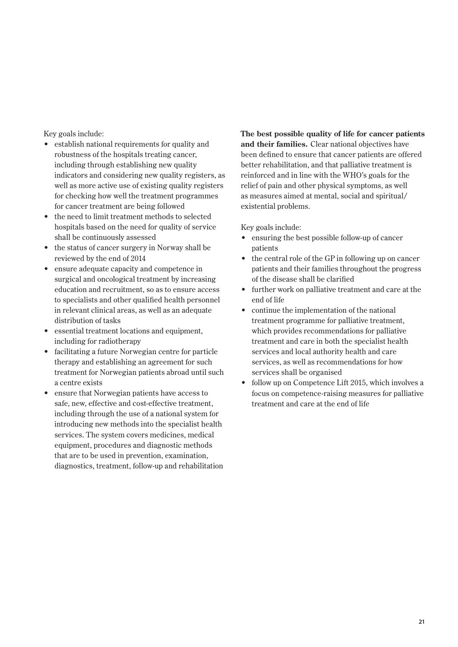Key goals include:

- establish national requirements for quality and robustness of the hospitals treating cancer, including through establishing new quality indicators and considering new quality registers, as well as more active use of existing quality registers for checking how well the treatment programmes for cancer treatment are being followed
- the need to limit treatment methods to selected hospitals based on the need for quality of service shall be continuously assessed
- the status of cancer surgery in Norway shall be reviewed by the end of 2014
- ensure adequate capacity and competence in surgical and oncological treatment by increasing education and recruitment, so as to ensure access to specialists and other qualified health personnel in relevant clinical areas, as well as an adequate distribution of tasks
- essential treatment locations and equipment, including for radiotherapy
- facilitating a future Norwegian centre for particle therapy and establishing an agreement for such treatment for Norwegian patients abroad until such a centre exists
- ensure that Norwegian patients have access to safe, new, effective and cost-effective treatment, including through the use of a national system for introducing new methods into the specialist health services. The system covers medicines, medical equipment, procedures and diagnostic methods that are to be used in prevention, examination, diagnostics, treatment, follow-up and rehabilitation

**The best possible quality of life for cancer patients and their families.** Clear national objectives have been defined to ensure that cancer patients are offered better rehabilitation, and that palliative treatment is reinforced and in line with the WHO's goals for the relief of pain and other physical symptoms, as well as measures aimed at mental, social and spiritual/ existential problems.

Key goals include:

- ensuring the best possible follow-up of cancer patients
- the central role of the GP in following up on cancer patients and their families throughout the progress of the disease shall be clarified
- further work on palliative treatment and care at the end of life
- continue the implementation of the national treatment programme for palliative treatment, which provides recommendations for palliative treatment and care in both the specialist health services and local authority health and care services, as well as recommendations for how services shall be organised
- follow up on Competence Lift 2015, which involves a focus on competence-raising measures for palliative treatment and care at the end of life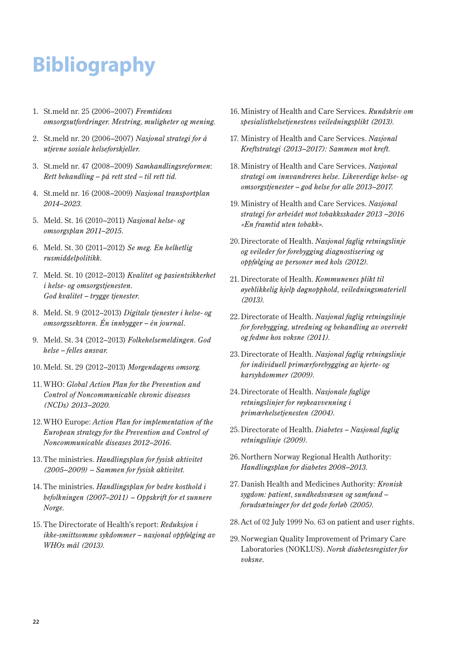# **Bibliography**

- 1. St.meld nr. 25 (2006–2007) *Fremtidens omsorgsutfordringer. Mestring, muligheter og mening.*
- 2. St.meld nr. 20 (2006–2007) *Nasjonal strategi for å utjevne sosiale helseforskjeller.*
- 3. St.meld nr. 47 (2008–2009) *Samhandlingsreformen*: *Rett behandling – på rett sted – til rett tid.*
- 4. St.meld nr. 16 (2008–2009) *Nasjonal transportplan 2014–2023.*
- 5. Meld. St. 16 (2010–2011) *Nasjonal helse- og omsorgsplan 2011–2015*.
- 6. Meld. St. 30 (2011–2012) *Se meg. En helhetlig rusmiddelpolitikk.*
- 7. Meld. St. 10 (2012–2013) *Kvalitet og pasientsikkerhet i helse- og omsorgstjenesten. God kvalitet – trygge tjenester*.
- 8. Meld. St. 9 (2012–2013) *Digitale tjenester i helse- og omsorgssektoren. Én innbygger – én journal*.
- 9. Meld. St. 34 (2012–2013) *Folkehelsemeldingen*. *God helse – felles ansvar.*
- 10. Meld. St. 29 (2012–2013) *Morgendagens omsorg.*
- 11. WHO: *Global Action Plan for the Prevention and Control of Noncommunicable chronic diseases (NCDs) 2013–2020.*
- 12.WHO Europe: *Action Plan for implementation of the European strategy for the Prevention and Control of Noncommunicable diseases 2012–2016.*
- 13. The ministries. *Handlingsplan for fysisk aktivitet (2005–2009) – Sammen for fysisk aktivitet.*
- 14. The ministries. *Handlingsplan for bedre kosthold i befolkningen (2007–2011) – Oppskrift for et sunnere Norge.*
- 15. The Directorate of Health's report: *Reduksjon i ikke-smittsomme sykdommer – nasjonal oppfølging av WHOs mål (2013).*
- 16. Ministry of Health and Care Services. *Rundskriv om spesialisthelsetjenestens veiledningsplikt (2013).*
- 17. Ministry of Health and Care Services. *Nasjonal Kreftstrategi (2013–2017): Sammen mot kreft.*
- 18. Ministry of Health and Care Services. *Nasjonal strategi om innvandreres helse. Likeverdige helse- og omsorgstjenester – god helse for alle 2013–2017.*
- 19. Ministry of Health and Care Services. *Nasjonal strategi for arbeidet mot tobakksskader 2013 –2016 «En framtid uten tobakk».*
- 20.Directorate of Health. *Nasjonal faglig retningslinje og veileder for forebygging diagnostisering og oppfølging av personer med kols (2012).*
- 21. Directorate of Health. *Kommunenes plikt til øyeblikkelig hjelp døgnopphold, veiledningsmateriell (2013).*
- 22.Directorate of Health. *Nasjonal faglig retningslinje for forebygging, utredning og behandling av overvekt og fedme hos voksne (2011).*
- 23.Directorate of Health. *Nasjonal faglig retningslinje for individuell primærforebygging av hjerte- og karsykdommer (2009).*
- 24.Directorate of Health. *Nasjonale faglige retningslinjer for røykeavvenning i primærhelsetjenesten (2004).*
- 25.Directorate of Health. *Diabetes Nasjonal faglig retningslinje (2009).*
- 26.Northern Norway Regional Health Authority: *Handlingsplan for diabetes 2008–2013.*
- 27. Danish Health and Medicines Authority*: Kronisk sygdom: patient, sundhedsvæsen og samfund – forudsætninger for det gode forløb (2005).*
- 28.Act of 02 July 1999 No. 63 on patient and user rights.
- 29. Norwegian Quality Improvement of Primary Care Laboratories (NOKLUS). *Norsk diabetesregister for voksne*.